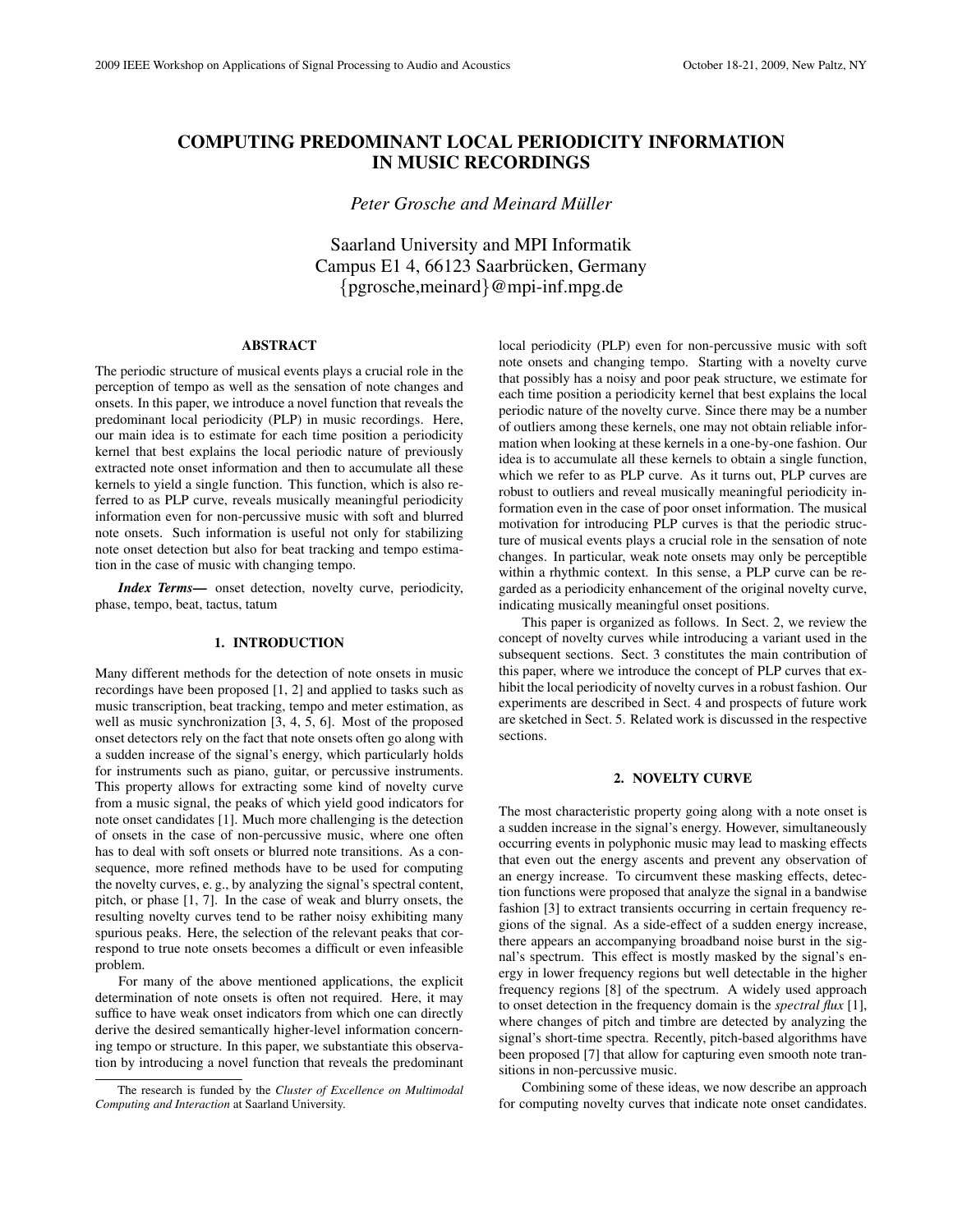# **COMPUTING PREDOMINANT LOCAL PERIODICITY INFORMATION IN MUSIC RECORDINGS**

*Peter Grosche and Meinard Muller ¨*

Saarland University and MPI Informatik Campus E1 4, 66123 Saarbrücken, Germany {pgrosche,meinard}@mpi-inf.mpg.de

# **ABSTRACT**

The periodic structure of musical events plays a crucial role in the perception of tempo as well as the sensation of note changes and onsets. In this paper, we introduce a novel function that reveals the predominant local periodicity (PLP) in music recordings. Here, our main idea is to estimate for each time position a periodicity kernel that best explains the local periodic nature of previously extracted note onset information and then to accumulate all these kernels to yield a single function. This function, which is also referred to as PLP curve, reveals musically meaningful periodicity information even for non-percussive music with soft and blurred note onsets. Such information is useful not only for stabilizing note onset detection but also for beat tracking and tempo estimation in the case of music with changing tempo.

*Index Terms***—** onset detection, novelty curve, periodicity, phase, tempo, beat, tactus, tatum

# **1. INTRODUCTION**

Many different methods for the detection of note onsets in music recordings have been proposed [1, 2] and applied to tasks such as music transcription, beat tracking, tempo and meter estimation, as well as music synchronization [3, 4, 5, 6]. Most of the proposed onset detectors rely on the fact that note onsets often go along with a sudden increase of the signal's energy, which particularly holds for instruments such as piano, guitar, or percussive instruments. This property allows for extracting some kind of novelty curve from a music signal, the peaks of which yield good indicators for note onset candidates [1]. Much more challenging is the detection of onsets in the case of non-percussive music, where one often has to deal with soft onsets or blurred note transitions. As a consequence, more refined methods have to be used for computing the novelty curves, e. g., by analyzing the signal's spectral content, pitch, or phase [1, 7]. In the case of weak and blurry onsets, the resulting novelty curves tend to be rather noisy exhibiting many spurious peaks. Here, the selection of the relevant peaks that correspond to true note onsets becomes a difficult or even infeasible problem.

For many of the above mentioned applications, the explicit determination of note onsets is often not required. Here, it may suffice to have weak onset indicators from which one can directly derive the desired semantically higher-level information concerning tempo or structure. In this paper, we substantiate this observation by introducing a novel function that reveals the predominant local periodicity (PLP) even for non-percussive music with soft note onsets and changing tempo. Starting with a novelty curve that possibly has a noisy and poor peak structure, we estimate for each time position a periodicity kernel that best explains the local periodic nature of the novelty curve. Since there may be a number of outliers among these kernels, one may not obtain reliable information when looking at these kernels in a one-by-one fashion. Our idea is to accumulate all these kernels to obtain a single function, which we refer to as PLP curve. As it turns out, PLP curves are robust to outliers and reveal musically meaningful periodicity information even in the case of poor onset information. The musical motivation for introducing PLP curves is that the periodic structure of musical events plays a crucial role in the sensation of note changes. In particular, weak note onsets may only be perceptible within a rhythmic context. In this sense, a PLP curve can be regarded as a periodicity enhancement of the original novelty curve, indicating musically meaningful onset positions.

This paper is organized as follows. In Sect. 2, we review the concept of novelty curves while introducing a variant used in the subsequent sections. Sect. 3 constitutes the main contribution of this paper, where we introduce the concept of PLP curves that exhibit the local periodicity of novelty curves in a robust fashion. Our experiments are described in Sect. 4 and prospects of future work are sketched in Sect. 5. Related work is discussed in the respective sections.

### **2. NOVELTY CURVE**

The most characteristic property going along with a note onset is a sudden increase in the signal's energy. However, simultaneously occurring events in polyphonic music may lead to masking effects that even out the energy ascents and prevent any observation of an energy increase. To circumvent these masking effects, detection functions were proposed that analyze the signal in a bandwise fashion [3] to extract transients occurring in certain frequency regions of the signal. As a side-effect of a sudden energy increase, there appears an accompanying broadband noise burst in the signal's spectrum. This effect is mostly masked by the signal's energy in lower frequency regions but well detectable in the higher frequency regions [8] of the spectrum. A widely used approach to onset detection in the frequency domain is the *spectral flux* [1], where changes of pitch and timbre are detected by analyzing the signal's short-time spectra. Recently, pitch-based algorithms have been proposed [7] that allow for capturing even smooth note transitions in non-percussive music.

Combining some of these ideas, we now describe an approach for computing novelty curves that indicate note onset candidates.

The research is funded by the *Cluster of Excellence on Multimodal Computing and Interaction* at Saarland University.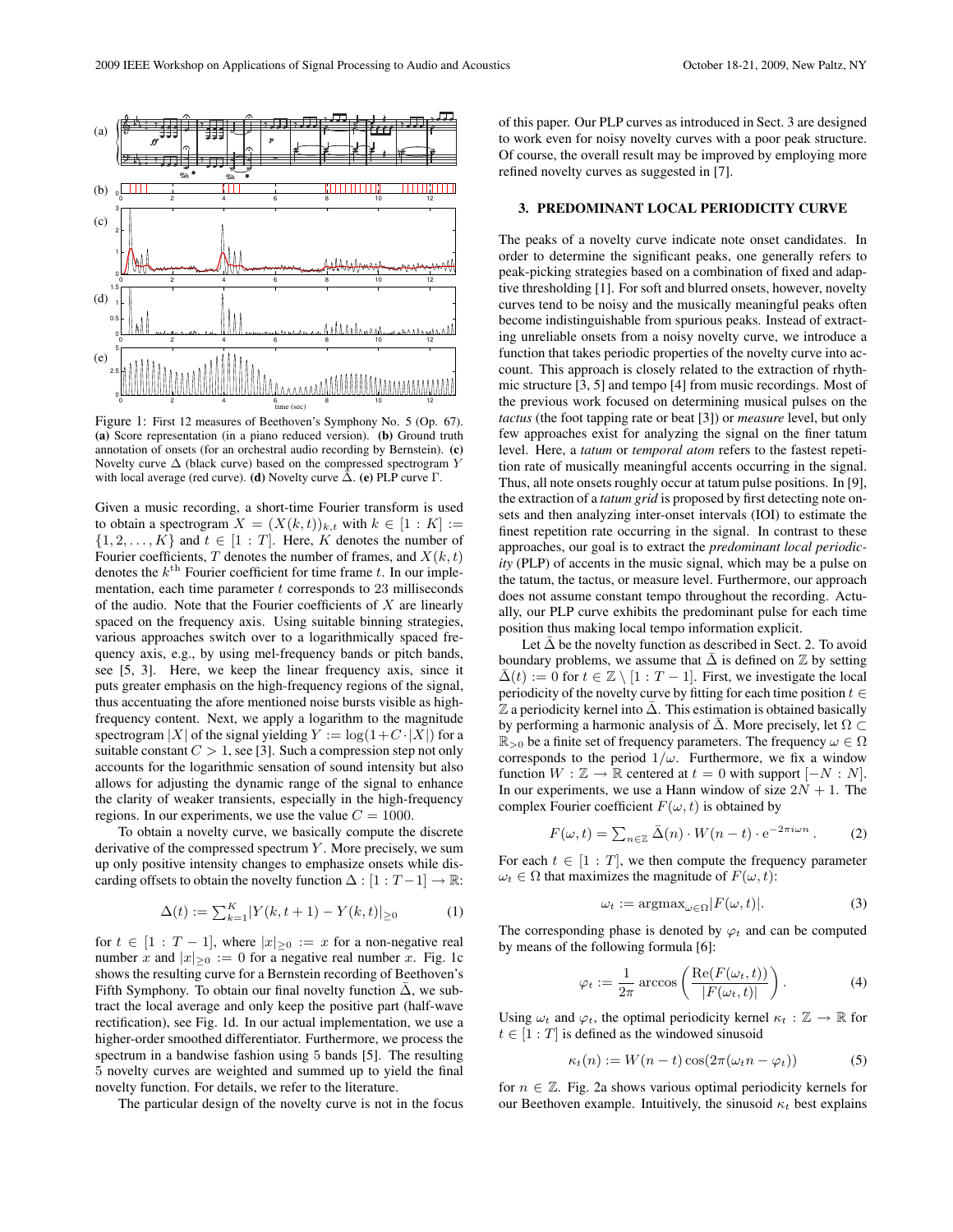

Figure 1: First 12 measures of Beethoven's Symphony No. 5 (Op. 67). **(a)** Score representation (in a piano reduced version). **(b)** Ground truth annotation of onsets (for an orchestral audio recording by Bernstein). **(c)** Novelty curve  $\Delta$  (black curve) based on the compressed spectrogram Y with local average (red curve). **(d)** Novelty curve  $\overline{\Delta}$ . **(e)** PLP curve  $\Gamma$ .

Given a music recording, a short-time Fourier transform is used to obtain a spectrogram  $X = (X(k,t))_{k,t}$  with  $k \in [1:K] :=$  $\{1, 2, \ldots, K\}$  and  $t \in [1 : T]$ . Here, K denotes the number of Fourier coefficients, T denotes the number of frames, and  $X(k, t)$ denotes the  $k^{\text{th}}$  Fourier coefficient for time frame t. In our implementation, each time parameter  $t$  corresponds to  $23$  milliseconds of the audio. Note that the Fourier coefficients of  $X$  are linearly spaced on the frequency axis. Using suitable binning strategies, various approaches switch over to a logarithmically spaced frequency axis, e.g., by using mel-frequency bands or pitch bands, see [5, 3]. Here, we keep the linear frequency axis, since it puts greater emphasis on the high-frequency regions of the signal, thus accentuating the afore mentioned noise bursts visible as highfrequency content. Next, we apply a logarithm to the magnitude spectrogram |X| of the signal yielding  $Y := \log(1 + C \cdot |X|)$  for a suitable constant  $C > 1$ , see [3]. Such a compression step not only accounts for the logarithmic sensation of sound intensity but also allows for adjusting the dynamic range of the signal to enhance the clarity of weaker transients, especially in the high-frequency regions. In our experiments, we use the value  $C = 1000$ .

To obtain a novelty curve, we basically compute the discrete derivative of the compressed spectrum  $Y$ . More precisely, we sum up only positive intensity changes to emphasize onsets while discarding offsets to obtain the novelty function  $\Delta : [1 : T-1] \rightarrow \mathbb{R}$ :

$$
\Delta(t) := \sum_{k=1}^{K} |Y(k, t+1) - Y(k, t)| \ge 0
$$
 (1)

for  $t \in [1 : T - 1]$ , where  $|x| \ge 0 := x$  for a non-negative real number x and  $|x|_{\geq 0} := 0$  for a negative real number x. Fig. 1c shows the resulting curve for a Bernstein recording of Beethoven's Fifth Symphony. To obtain our final novelty function  $\bar{\Delta}$ , we subtract the local average and only keep the positive part (half-wave rectification), see Fig. 1d. In our actual implementation, we use a higher-order smoothed differentiator. Furthermore, we process the spectrum in a bandwise fashion using 5 bands [5]. The resulting 5 novelty curves are weighted and summed up to yield the final novelty function. For details, we refer to the literature.

The particular design of the novelty curve is not in the focus

of this paper. Our PLP curves as introduced in Sect. 3 are designed to work even for noisy novelty curves with a poor peak structure. Of course, the overall result may be improved by employing more refined novelty curves as suggested in [7].

#### **3. PREDOMINANT LOCAL PERIODICITY CURVE**

The peaks of a novelty curve indicate note onset candidates. In order to determine the significant peaks, one generally refers to peak-picking strategies based on a combination of fixed and adaptive thresholding [1]. For soft and blurred onsets, however, novelty curves tend to be noisy and the musically meaningful peaks often become indistinguishable from spurious peaks. Instead of extracting unreliable onsets from a noisy novelty curve, we introduce a function that takes periodic properties of the novelty curve into account. This approach is closely related to the extraction of rhythmic structure [3, 5] and tempo [4] from music recordings. Most of the previous work focused on determining musical pulses on the *tactus* (the foot tapping rate or beat [3]) or *measure* level, but only few approaches exist for analyzing the signal on the finer tatum level. Here, a *tatum* or *temporal atom* refers to the fastest repetition rate of musically meaningful accents occurring in the signal. Thus, all note onsets roughly occur at tatum pulse positions. In [9], the extraction of a *tatum grid* is proposed by first detecting note onsets and then analyzing inter-onset intervals (IOI) to estimate the finest repetition rate occurring in the signal. In contrast to these approaches, our goal is to extract the *predominant local periodicity* (PLP) of accents in the music signal, which may be a pulse on the tatum, the tactus, or measure level. Furthermore, our approach does not assume constant tempo throughout the recording. Actually, our PLP curve exhibits the predominant pulse for each time position thus making local tempo information explicit.

Let  $\bar{\Delta}$  be the novelty function as described in Sect. 2. To avoid boundary problems, we assume that  $\bar{\Delta}$  is defined on  $\mathbb Z$  by setting  $\overline{\Delta}(t) := 0$  for  $t \in \mathbb{Z} \setminus [1 : T - 1]$ . First, we investigate the local periodicity of the novelty curve by fitting for each time position  $t \in$  $\mathbb Z$  a periodicity kernel into  $\bar \Delta$ . This estimation is obtained basically by performing a harmonic analysis of  $\Delta$ . More precisely, let  $\Omega \subset$  $\mathbb{R}_{>0}$  be a finite set of frequency parameters. The frequency  $\omega \in \Omega$ corresponds to the period  $1/\omega$ . Furthermore, we fix a window function  $W : \mathbb{Z} \to \mathbb{R}$  centered at  $t = 0$  with support  $[-N : N]$ . In our experiments, we use a Hann window of size  $2N + 1$ . The complex Fourier coefficient  $F(\omega, t)$  is obtained by

$$
F(\omega, t) = \sum_{n \in \mathbb{Z}} \bar{\Delta}(n) \cdot W(n - t) \cdot e^{-2\pi i \omega n}.
$$
 (2)

For each  $t \in [1 : T]$ , we then compute the frequency parameter  $\omega_t \in \Omega$  that maximizes the magnitude of  $F(\omega, t)$ :

$$
\omega_t := \operatorname{argmax}_{\omega \in \Omega} |F(\omega, t)|. \tag{3}
$$

The corresponding phase is denoted by  $\varphi_t$  and can be computed by means of the following formula [6]:

$$
\varphi_t := \frac{1}{2\pi} \arccos\left(\frac{\text{Re}(F(\omega_t, t))}{|F(\omega_t, t)|}\right). \tag{4}
$$

Using  $\omega_t$  and  $\varphi_t$ , the optimal periodicity kernel  $\kappa_t : \mathbb{Z} \to \mathbb{R}$  for  $t \in [1 : T]$  is defined as the windowed sinusoid

$$
\kappa_t(n) := W(n-t)\cos(2\pi(\omega_t n - \varphi_t))
$$
\n(5)

for  $n \in \mathbb{Z}$ . Fig. 2a shows various optimal periodicity kernels for our Beethoven example. Intuitively, the sinusoid  $\kappa_t$  best explains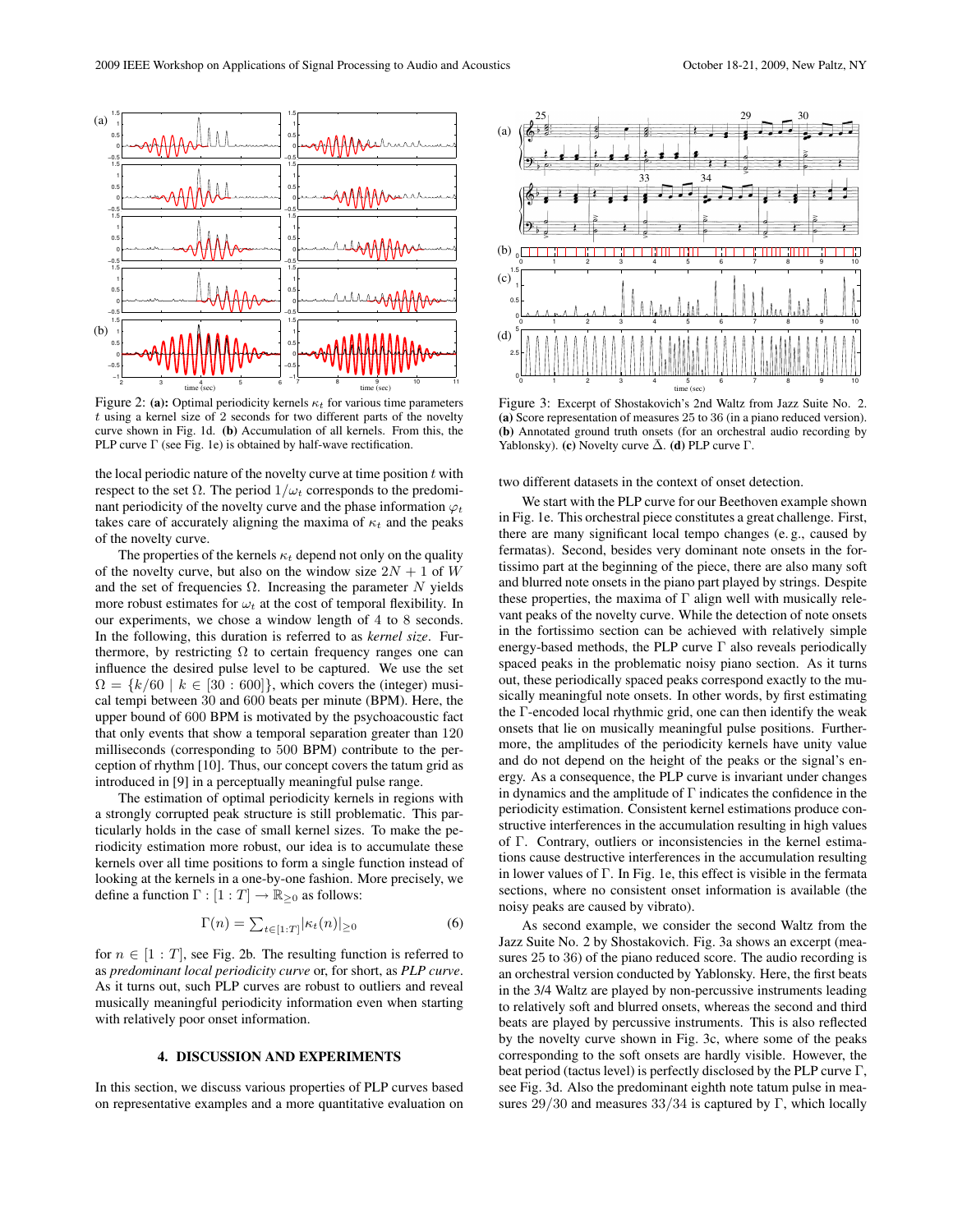

Figure 2: (a): Optimal periodicity kernels  $\kappa_t$  for various time parameters t using a kernel size of 2 seconds for two different parts of the novelty curve shown in Fig. 1d. **(b)** Accumulation of all kernels. From this, the PLP curve  $\Gamma$  (see Fig. 1e) is obtained by half-wave rectification.

the local periodic nature of the novelty curve at time position  $t$  with respect to the set  $\Omega$ . The period  $1/\omega_t$  corresponds to the predominant periodicity of the novelty curve and the phase information  $\varphi_t$ takes care of accurately aligning the maxima of  $\kappa_t$  and the peaks of the novelty curve.

The properties of the kernels  $\kappa_t$  depend not only on the quality of the novelty curve, but also on the window size  $2N + 1$  of W and the set of frequencies  $\Omega$ . Increasing the parameter N yields more robust estimates for  $\omega_t$  at the cost of temporal flexibility. In our experiments, we chose a window length of 4 to 8 seconds. In the following, this duration is referred to as *kernel size*. Furthermore, by restricting  $\Omega$  to certain frequency ranges one can influence the desired pulse level to be captured. We use the set  $\Omega = \{k/60 \mid k \in [30 : 600]\}$ , which covers the (integer) musical tempi between 30 and 600 beats per minute (BPM). Here, the upper bound of 600 BPM is motivated by the psychoacoustic fact that only events that show a temporal separation greater than 120 milliseconds (corresponding to 500 BPM) contribute to the perception of rhythm [10]. Thus, our concept covers the tatum grid as introduced in [9] in a perceptually meaningful pulse range.

The estimation of optimal periodicity kernels in regions with a strongly corrupted peak structure is still problematic. This particularly holds in the case of small kernel sizes. To make the periodicity estimation more robust, our idea is to accumulate these kernels over all time positions to form a single function instead of looking at the kernels in a one-by-one fashion. More precisely, we define a function  $\Gamma : [1 : T] \to \mathbb{R}_{\geq 0}$  as follows:

$$
\Gamma(n) = \sum_{t \in [1:T]} |\kappa_t(n)| \ge 0 \tag{6}
$$

for  $n \in [1 : T]$ , see Fig. 2b. The resulting function is referred to as *predominant local periodicity curve* or, for short, as *PLP curve*. As it turns out, such PLP curves are robust to outliers and reveal musically meaningful periodicity information even when starting with relatively poor onset information.

### **4. DISCUSSION AND EXPERIMENTS**

In this section, we discuss various properties of PLP curves based on representative examples and a more quantitative evaluation on



Figure 3: Excerpt of Shostakovich's 2nd Waltz from Jazz Suite No. 2. **(a)** Score representation of measures 25 to 36 (in a piano reduced version). **(b)** Annotated ground truth onsets (for an orchestral audio recording by Yablonsky). **(c)** Novelty curve  $\overline{\Delta}$ . **(d)** PLP curve  $\Gamma$ .

two different datasets in the context of onset detection.

We start with the PLP curve for our Beethoven example shown in Fig. 1e. This orchestral piece constitutes a great challenge. First, there are many significant local tempo changes (e. g., caused by fermatas). Second, besides very dominant note onsets in the fortissimo part at the beginning of the piece, there are also many soft and blurred note onsets in the piano part played by strings. Despite these properties, the maxima of  $\Gamma$  align well with musically relevant peaks of the novelty curve. While the detection of note onsets in the fortissimo section can be achieved with relatively simple energy-based methods, the PLP curve Γ also reveals periodically spaced peaks in the problematic noisy piano section. As it turns out, these periodically spaced peaks correspond exactly to the musically meaningful note onsets. In other words, by first estimating the Γ-encoded local rhythmic grid, one can then identify the weak onsets that lie on musically meaningful pulse positions. Furthermore, the amplitudes of the periodicity kernels have unity value and do not depend on the height of the peaks or the signal's energy. As a consequence, the PLP curve is invariant under changes in dynamics and the amplitude of  $\Gamma$  indicates the confidence in the periodicity estimation. Consistent kernel estimations produce constructive interferences in the accumulation resulting in high values of Γ. Contrary, outliers or inconsistencies in the kernel estimations cause destructive interferences in the accumulation resulting in lower values of Γ. In Fig. 1e, this effect is visible in the fermata sections, where no consistent onset information is available (the noisy peaks are caused by vibrato).

As second example, we consider the second Waltz from the Jazz Suite No. 2 by Shostakovich. Fig. 3a shows an excerpt (measures 25 to 36) of the piano reduced score. The audio recording is an orchestral version conducted by Yablonsky. Here, the first beats in the 3/4 Waltz are played by non-percussive instruments leading to relatively soft and blurred onsets, whereas the second and third beats are played by percussive instruments. This is also reflected by the novelty curve shown in Fig. 3c, where some of the peaks corresponding to the soft onsets are hardly visible. However, the beat period (tactus level) is perfectly disclosed by the PLP curve Γ, see Fig. 3d. Also the predominant eighth note tatum pulse in measures 29/30 and measures 33/34 is captured by Γ, which locally